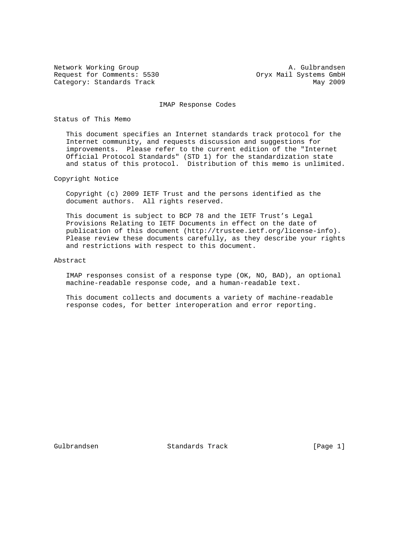Request for Comments: 5530 Oryx Mail Systems GmbH Category: Standards Track May 2009

Network Working Group A. Gulbrandsen

IMAP Response Codes

## Status of This Memo

 This document specifies an Internet standards track protocol for the Internet community, and requests discussion and suggestions for improvements. Please refer to the current edition of the "Internet Official Protocol Standards" (STD 1) for the standardization state and status of this protocol. Distribution of this memo is unlimited.

## Copyright Notice

 Copyright (c) 2009 IETF Trust and the persons identified as the document authors. All rights reserved.

 This document is subject to BCP 78 and the IETF Trust's Legal Provisions Relating to IETF Documents in effect on the date of publication of this document (http://trustee.ietf.org/license-info). Please review these documents carefully, as they describe your rights and restrictions with respect to this document.

# Abstract

 IMAP responses consist of a response type (OK, NO, BAD), an optional machine-readable response code, and a human-readable text.

 This document collects and documents a variety of machine-readable response codes, for better interoperation and error reporting.

Gulbrandsen Standards Track [Page 1]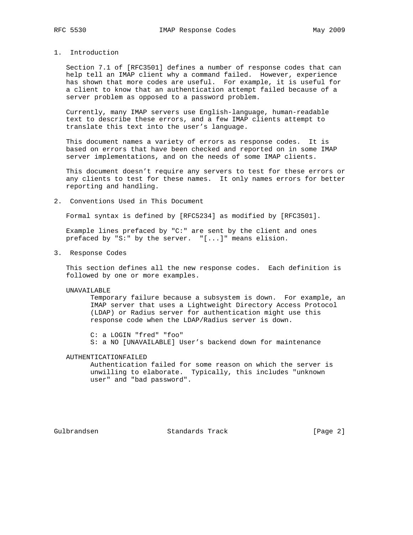# 1. Introduction

 Section 7.1 of [RFC3501] defines a number of response codes that can help tell an IMAP client why a command failed. However, experience has shown that more codes are useful. For example, it is useful for a client to know that an authentication attempt failed because of a server problem as opposed to a password problem.

 Currently, many IMAP servers use English-language, human-readable text to describe these errors, and a few IMAP clients attempt to translate this text into the user's language.

 This document names a variety of errors as response codes. It is based on errors that have been checked and reported on in some IMAP server implementations, and on the needs of some IMAP clients.

 This document doesn't require any servers to test for these errors or any clients to test for these names. It only names errors for better reporting and handling.

2. Conventions Used in This Document

Formal syntax is defined by [RFC5234] as modified by [RFC3501].

 Example lines prefaced by "C:" are sent by the client and ones prefaced by "S:" by the server. "[...]" means elision.

3. Response Codes

 This section defines all the new response codes. Each definition is followed by one or more examples.

UNAVAILABLE

 Temporary failure because a subsystem is down. For example, an IMAP server that uses a Lightweight Directory Access Protocol (LDAP) or Radius server for authentication might use this response code when the LDAP/Radius server is down.

 C: a LOGIN "fred" "foo" S: a NO [UNAVAILABLE] User's backend down for maintenance

## AUTHENTICATIONFAILED

 Authentication failed for some reason on which the server is unwilling to elaborate. Typically, this includes "unknown user" and "bad password".

Gulbrandsen Standards Track [Page 2]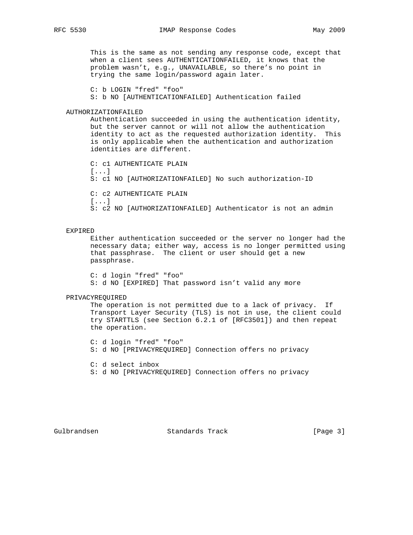This is the same as not sending any response code, except that when a client sees AUTHENTICATIONFAILED, it knows that the problem wasn't, e.g., UNAVAILABLE, so there's no point in trying the same login/password again later.

C: b LOGIN "fred" "foo"

S: b NO [AUTHENTICATIONFAILED] Authentication failed

# AUTHORIZATIONFAILED

 Authentication succeeded in using the authentication identity, but the server cannot or will not allow the authentication identity to act as the requested authorization identity. This is only applicable when the authentication and authorization identities are different.

 C: c1 AUTHENTICATE PLAIN [...] S: c1 NO [AUTHORIZATIONFAILED] No such authorization-ID C: c2 AUTHENTICATE PLAIN [...] S: c2 NO [AUTHORIZATIONFAILED] Authenticator is not an admin

#### EXPIRED

 Either authentication succeeded or the server no longer had the necessary data; either way, access is no longer permitted using that passphrase. The client or user should get a new passphrase.

 C: d login "fred" "foo" S: d NO [EXPIRED] That password isn't valid any more

## PRIVACYREQUIRED

 The operation is not permitted due to a lack of privacy. If Transport Layer Security (TLS) is not in use, the client could try STARTTLS (see Section 6.2.1 of [RFC3501]) and then repeat the operation.

 C: d login "fred" "foo" S: d NO [PRIVACYREQUIRED] Connection offers no privacy

 C: d select inbox S: d NO [PRIVACYREQUIRED] Connection offers no privacy

Gulbrandsen Standards Track [Page 3]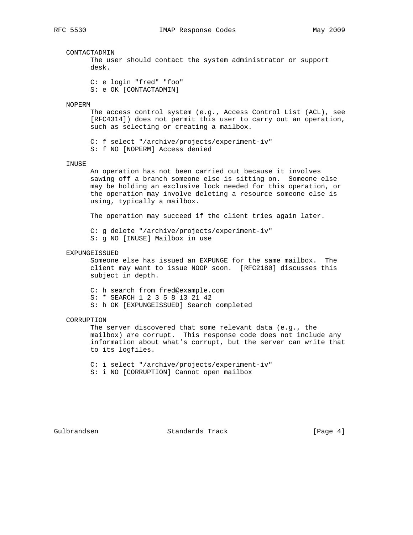#### CONTACTADMIN

 The user should contact the system administrator or support desk.

 C: e login "fred" "foo" S: e OK [CONTACTADMIN]

#### NOPERM

 The access control system (e.g., Access Control List (ACL), see [RFC4314]) does not permit this user to carry out an operation, such as selecting or creating a mailbox.

 C: f select "/archive/projects/experiment-iv" S: f NO [NOPERM] Access denied

#### INUSE

 An operation has not been carried out because it involves sawing off a branch someone else is sitting on. Someone else may be holding an exclusive lock needed for this operation, or the operation may involve deleting a resource someone else is using, typically a mailbox.

The operation may succeed if the client tries again later.

 C: g delete "/archive/projects/experiment-iv" S: g NO [INUSE] Mailbox in use

#### EXPUNGEISSUED

 Someone else has issued an EXPUNGE for the same mailbox. The client may want to issue NOOP soon. [RFC2180] discusses this subject in depth.

C: h search from fred@example.com

S: \* SEARCH 1 2 3 5 8 13 21 42

S: h OK [EXPUNGEISSUED] Search completed

#### CORRUPTION

 The server discovered that some relevant data (e.g., the mailbox) are corrupt. This response code does not include any information about what's corrupt, but the server can write that to its logfiles.

C: i select "/archive/projects/experiment-iv"

S: i NO [CORRUPTION] Cannot open mailbox

Gulbrandsen Standards Track [Page 4]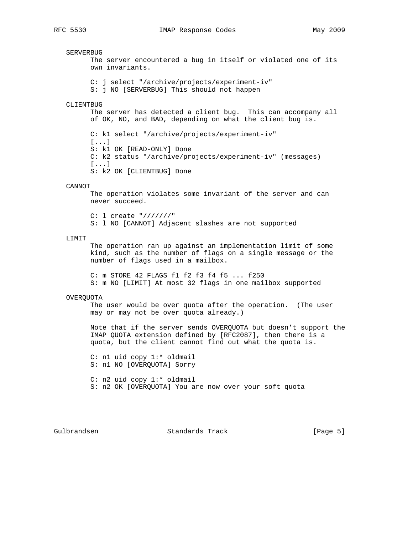SERVERBUG

 The server encountered a bug in itself or violated one of its own invariants. C: j select "/archive/projects/experiment-iv" S: j NO [SERVERBUG] This should not happen CLIENTBUG The server has detected a client bug. This can accompany all of OK, NO, and BAD, depending on what the client bug is. C: k1 select "/archive/projects/experiment-iv" [...] S: k1 OK [READ-ONLY] Done C: k2 status "/archive/projects/experiment-iv" (messages) [...] S: k2 OK [CLIENTBUG] Done CANNOT The operation violates some invariant of the server and can never succeed. C: l create "///////" S: l NO [CANNOT] Adjacent slashes are not supported LIMIT The operation ran up against an implementation limit of some kind, such as the number of flags on a single message or the number of flags used in a mailbox. C: m STORE 42 FLAGS f1 f2 f3 f4 f5 ... f250 S: m NO [LIMIT] At most 32 flags in one mailbox supported OVERQUOTA The user would be over quota after the operation. (The user may or may not be over quota already.) Note that if the server sends OVERQUOTA but doesn't support the IMAP QUOTA extension defined by [RFC2087], then there is a quota, but the client cannot find out what the quota is.

 C: n1 uid copy 1:\* oldmail S: n1 NO [OVERQUOTA] Sorry

 C: n2 uid copy 1:\* oldmail S: n2 OK [OVERQUOTA] You are now over your soft quota

Gulbrandsen Standards Track [Page 5]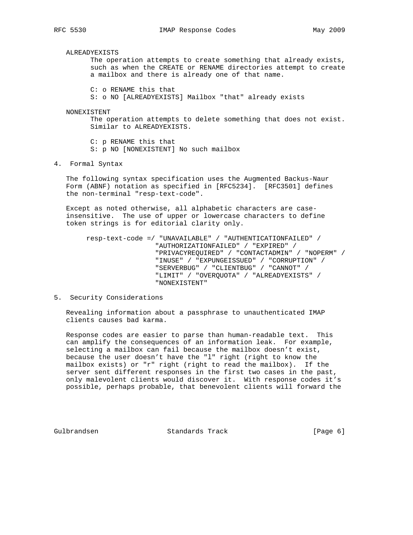ALREADYEXISTS

 The operation attempts to create something that already exists, such as when the CREATE or RENAME directories attempt to create a mailbox and there is already one of that name.

C: o RENAME this that

S: o NO [ALREADYEXISTS] Mailbox "that" already exists

NONEXISTENT

 The operation attempts to delete something that does not exist. Similar to ALREADYEXISTS.

 C: p RENAME this that S: p NO [NONEXISTENT] No such mailbox

4. Formal Syntax

 The following syntax specification uses the Augmented Backus-Naur Form (ABNF) notation as specified in [RFC5234]. [RFC3501] defines the non-terminal "resp-text-code".

 Except as noted otherwise, all alphabetic characters are case insensitive. The use of upper or lowercase characters to define token strings is for editorial clarity only.

 resp-text-code =/ "UNAVAILABLE" / "AUTHENTICATIONFAILED" / "AUTHORIZATIONFAILED" / "EXPIRED" / "PRIVACYREQUIRED" / "CONTACTADMIN" / "NOPERM" / "INUSE" / "EXPUNGEISSUED" / "CORRUPTION" / "SERVERBUG" / "CLIENTBUG" / "CANNOT" / "LIMIT" / "OVERQUOTA" / "ALREADYEXISTS" / "NONEXISTENT"

# 5. Security Considerations

 Revealing information about a passphrase to unauthenticated IMAP clients causes bad karma.

 Response codes are easier to parse than human-readable text. This can amplify the consequences of an information leak. For example, selecting a mailbox can fail because the mailbox doesn't exist, because the user doesn't have the "l" right (right to know the mailbox exists) or "r" right (right to read the mailbox). If the server sent different responses in the first two cases in the past, only malevolent clients would discover it. With response codes it's possible, perhaps probable, that benevolent clients will forward the

Gulbrandsen Standards Track [Page 6]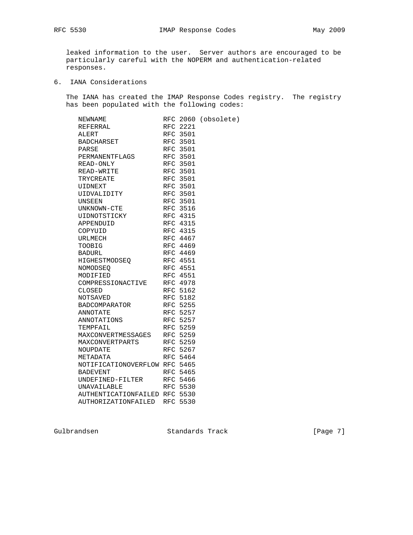leaked information to the user. Server authors are encouraged to be particularly careful with the NOPERM and authentication-related responses.

6. IANA Considerations

 The IANA has created the IMAP Response Codes registry. The registry has been populated with the following codes:

| NEWNAME                       |                 | RFC 2060 (obsolete) |
|-------------------------------|-----------------|---------------------|
| REFERRAL                      | RFC 2221        |                     |
| ALERT                         | RFC 3501        |                     |
| BADCHARSET                    | RFC 3501        |                     |
| PARSE                         | RFC 3501        |                     |
| PERMANENTFLAGS                | <b>RFC 3501</b> |                     |
| READ-ONLY                     | <b>RFC 3501</b> |                     |
| READ-WRITE                    | RFC 3501        |                     |
| TRYCREATE                     | RFC 3501        |                     |
| UIDNEXT                       | RFC 3501        |                     |
| UIDVALIDITY                   | RFC 3501        |                     |
| UNSEEN                        | RFC 3501        |                     |
| UNKNOWN-CTE                   | RFC 3516        |                     |
| UIDNOTSTICKY                  | RFC 4315        |                     |
| APPENDUID                     | RFC 4315        |                     |
| COPYUID                       | RFC 4315        |                     |
| URLMECH                       | RFC 4467        |                     |
| TOOBIG                        | RFC 4469        |                     |
| <b>BADURL</b>                 | RFC 4469        |                     |
| HIGHESTMODSEO                 | RFC 4551        |                     |
| NOMODSEO                      | <b>RFC 4551</b> |                     |
| MODIFIED                      | RFC 4551        |                     |
| COMPRESSIONACTIVE             | RFC 4978        |                     |
| CLOSED                        | <b>RFC 5162</b> |                     |
| NOTSAVED                      | RFC 5182        |                     |
| BADCOMPARATOR                 | RFC 5255        |                     |
| ANNOTATE                      | RFC 5257        |                     |
| ANNOTATIONS                   | RFC 5257        |                     |
| TEMPFAIL                      | RFC 5259        |                     |
| MAXCONVERTMESSAGES            | RFC 5259        |                     |
| MAXCONVERTPARTS               | RFC 5259        |                     |
| NOUPDATE                      | RFC 5267        |                     |
| METADATA                      | RFC 5464        |                     |
| NOTIFICATIONOVERFLOW RFC 5465 |                 |                     |
| <b>BADEVENT</b>               | RFC 5465        |                     |
| UNDEFINED-FILTER              | RFC 5466        |                     |
| <b>UNAVAILABLE</b>            | RFC 5530        |                     |
| AUTHENTICATIONFAILED RFC 5530 |                 |                     |
| AUTHORIZATIONFAILED           | <b>RFC 5530</b> |                     |

Gulbrandsen Standards Track [Page 7]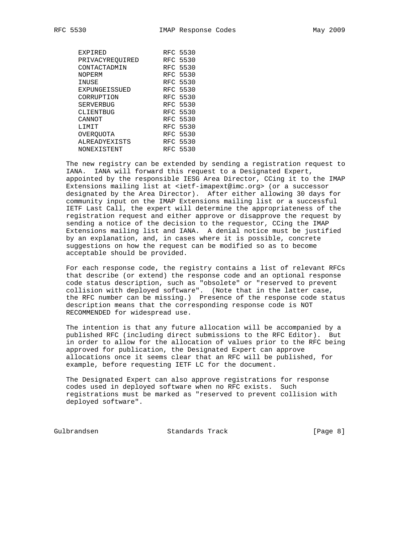| EXPIRED          | RFC 5530 |
|------------------|----------|
| PRIVACYREOUIRED  | RFC 5530 |
| CONTACTADMIN     | RFC 5530 |
| NOPERM           | RFC 5530 |
| INUSE            | RFC 5530 |
| EXPUNGEISSUED    | RFC 5530 |
| CORRUPTION       | RFC 5530 |
| <b>SERVERBUG</b> | RFC 5530 |
| CLIENTBUG        | RFC 5530 |
| CANNOT           | RFC 5530 |
| <b>T.TMTT</b>    | RFC 5530 |
| OVEROUOTA        | RFC 5530 |
| ALREADYEXISTS    | RFC 5530 |
| NONEXISTENT      | RFC 5530 |

 The new registry can be extended by sending a registration request to IANA. IANA will forward this request to a Designated Expert, appointed by the responsible IESG Area Director, CCing it to the IMAP Extensions mailing list at <ietf-imapext@imc.org> (or a successor designated by the Area Director). After either allowing 30 days for community input on the IMAP Extensions mailing list or a successful IETF Last Call, the expert will determine the appropriateness of the registration request and either approve or disapprove the request by sending a notice of the decision to the requestor, CCing the IMAP Extensions mailing list and IANA. A denial notice must be justified by an explanation, and, in cases where it is possible, concrete suggestions on how the request can be modified so as to become acceptable should be provided.

 For each response code, the registry contains a list of relevant RFCs that describe (or extend) the response code and an optional response code status description, such as "obsolete" or "reserved to prevent collision with deployed software". (Note that in the latter case, the RFC number can be missing.) Presence of the response code status description means that the corresponding response code is NOT RECOMMENDED for widespread use.

 The intention is that any future allocation will be accompanied by a published RFC (including direct submissions to the RFC Editor). But in order to allow for the allocation of values prior to the RFC being approved for publication, the Designated Expert can approve allocations once it seems clear that an RFC will be published, for example, before requesting IETF LC for the document.

 The Designated Expert can also approve registrations for response codes used in deployed software when no RFC exists. Such registrations must be marked as "reserved to prevent collision with deployed software".

Gulbrandsen Standards Track [Page 8]